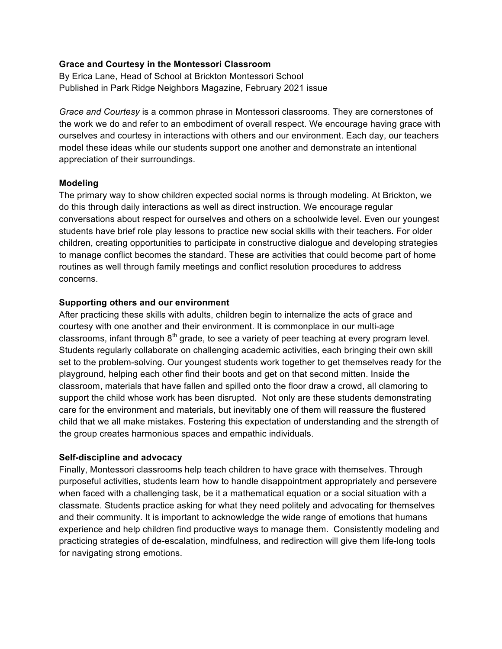## **Grace and Courtesy in the Montessori Classroom**

By Erica Lane, Head of School at Brickton Montessori School Published in Park Ridge Neighbors Magazine, February 2021 issue

*Grace and Courtesy* is a common phrase in Montessori classrooms. They are cornerstones of the work we do and refer to an embodiment of overall respect. We encourage having grace with ourselves and courtesy in interactions with others and our environment. Each day, our teachers model these ideas while our students support one another and demonstrate an intentional appreciation of their surroundings.

## **Modeling**

The primary way to show children expected social norms is through modeling. At Brickton, we do this through daily interactions as well as direct instruction. We encourage regular conversations about respect for ourselves and others on a schoolwide level. Even our youngest students have brief role play lessons to practice new social skills with their teachers. For older children, creating opportunities to participate in constructive dialogue and developing strategies to manage conflict becomes the standard. These are activities that could become part of home routines as well through family meetings and conflict resolution procedures to address concerns.

## **Supporting others and our environment**

After practicing these skills with adults, children begin to internalize the acts of grace and courtesy with one another and their environment. It is commonplace in our multi-age classrooms, infant through  $8<sup>th</sup>$  grade, to see a variety of peer teaching at every program level. Students regularly collaborate on challenging academic activities, each bringing their own skill set to the problem-solving. Our youngest students work together to get themselves ready for the playground, helping each other find their boots and get on that second mitten. Inside the classroom, materials that have fallen and spilled onto the floor draw a crowd, all clamoring to support the child whose work has been disrupted. Not only are these students demonstrating care for the environment and materials, but inevitably one of them will reassure the flustered child that we all make mistakes. Fostering this expectation of understanding and the strength of the group creates harmonious spaces and empathic individuals.

## **Self-discipline and advocacy**

Finally, Montessori classrooms help teach children to have grace with themselves. Through purposeful activities, students learn how to handle disappointment appropriately and persevere when faced with a challenging task, be it a mathematical equation or a social situation with a classmate. Students practice asking for what they need politely and advocating for themselves and their community. It is important to acknowledge the wide range of emotions that humans experience and help children find productive ways to manage them. Consistently modeling and practicing strategies of de-escalation, mindfulness, and redirection will give them life-long tools for navigating strong emotions.